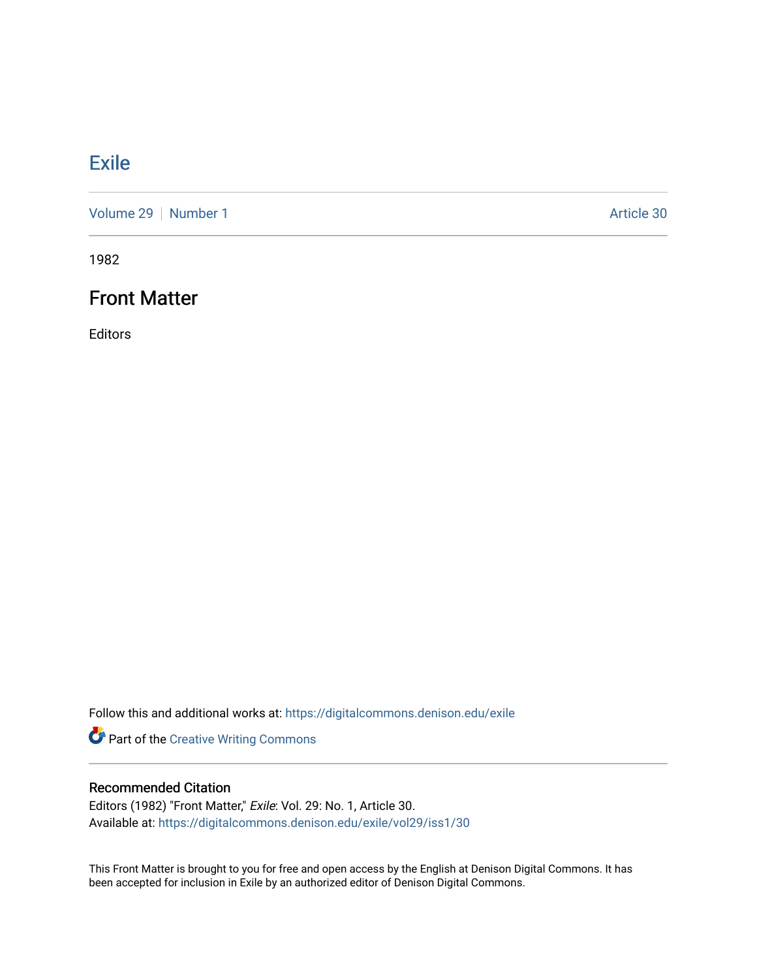## **[Exile](https://digitalcommons.denison.edu/exile)**

[Volume 29](https://digitalcommons.denison.edu/exile/vol29) | [Number 1](https://digitalcommons.denison.edu/exile/vol29/iss1) Article 30

1982

## Front Matter

Editors

Follow this and additional works at: [https://digitalcommons.denison.edu/exile](https://digitalcommons.denison.edu/exile?utm_source=digitalcommons.denison.edu%2Fexile%2Fvol29%2Fiss1%2F30&utm_medium=PDF&utm_campaign=PDFCoverPages) 

Part of the [Creative Writing Commons](http://network.bepress.com/hgg/discipline/574?utm_source=digitalcommons.denison.edu%2Fexile%2Fvol29%2Fiss1%2F30&utm_medium=PDF&utm_campaign=PDFCoverPages) 

#### Recommended Citation

Editors (1982) "Front Matter," Exile: Vol. 29: No. 1, Article 30. Available at: [https://digitalcommons.denison.edu/exile/vol29/iss1/30](https://digitalcommons.denison.edu/exile/vol29/iss1/30?utm_source=digitalcommons.denison.edu%2Fexile%2Fvol29%2Fiss1%2F30&utm_medium=PDF&utm_campaign=PDFCoverPages)

This Front Matter is brought to you for free and open access by the English at Denison Digital Commons. It has been accepted for inclusion in Exile by an authorized editor of Denison Digital Commons.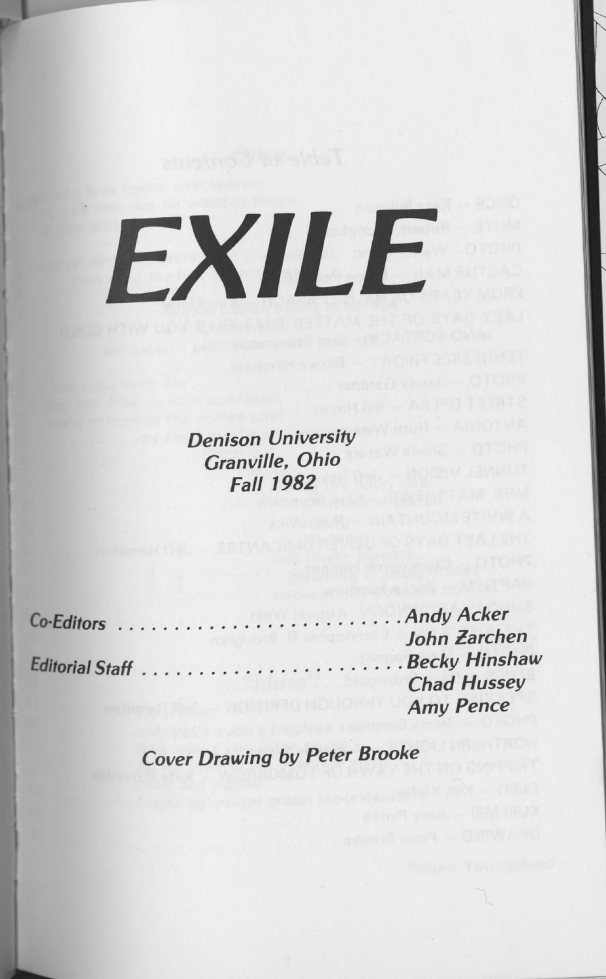# **EXILE**

Denison University *Granville, Ohio Fall 1982*

Editorial Staff . .

Co-Editors . Andy Acker John Zarchen<br>Becky Hinshaw Chad Hussey *Amy Pence*

*Cover Drawing by Peter Brooke*